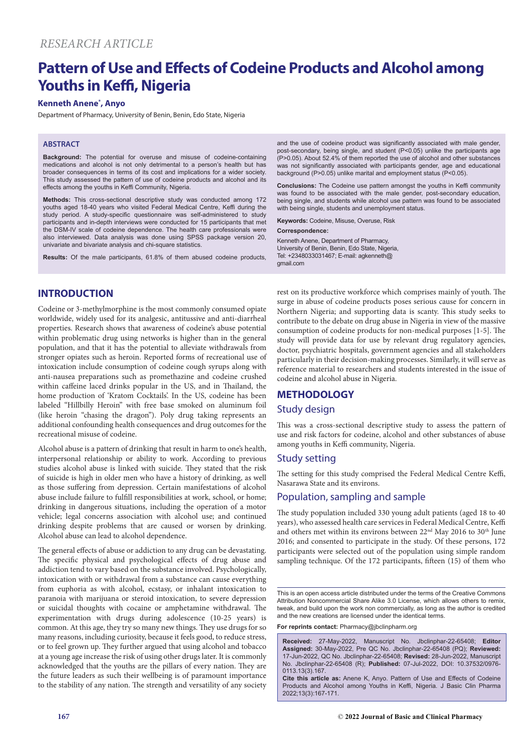# **Pattern of Use and Effects of Codeine Products and Alcohol among Youths in Keffi, Nigeria**

### **Kenneth Anene\* , Anyo**

Department of Pharmacy, University of Benin, Benin, Edo State, Nigeria

#### **ABSTRACT**

**Background:** The potential for overuse and misuse of codeine-containing medications and alcohol is not only detrimental to a person's health but has broader consequences in terms of its cost and implications for a wider society. This study assessed the pattern of use of codeine products and alcohol and its effects among the youths in Keffi Community, Nigeria.

**Methods:** This cross-sectional descriptive study was conducted among 172 youths aged 18-40 years who visited Federal Medical Centre, Keffi during the study period. A study-specific questionnaire was self-administered to study participants and in-depth interviews were conducted for 15 participants that met the DSM-IV scale of codeine dependence. The health care professionals were also interviewed. Data analysis was done using SPSS package version 20, univariate and bivariate analysis and chi-square statistics.

**Results:** Of the male participants, 61.8% of them abused codeine products,

and the use of codeine product was significantly associated with male gender, post-secondary, being single, and student (P<0.05) unlike the participants age (P>0.05). About 52.4% of them reported the use of alcohol and other substances was not significantly associated with participants gender, age and educational background (P>0.05) unlike marital and employment status (P<0.05).

**Conclusions:** The Codeine use pattern amongst the youths in Keffi community was found to be associated with the male gender, post-secondary education, being single, and students while alcohol use pattern was found to be associated with being single, students and unemployment status.

**Keywords:** Codeine, Misuse, Overuse, Risk

#### **Correspondence:**

Kenneth Anene, Department of Pharmacy, University of Benin, Benin, Edo State, Nigeria, Tel: +2348033031467; E-mail: agkenneth@ gmail.com

# **INTRODUCTION**

Codeine or 3-methylmorphine is the most commonly consumed opiate worldwide, widely used for its analgesic, antitussive and anti-diarrheal properties. Research shows that awareness of codeine's abuse potential within problematic drug using networks is higher than in the general population, and that it has the potential to alleviate withdrawals from stronger opiates such as heroin. Reported forms of recreational use of intoxication include consumption of codeine cough syrups along with anti-nausea preparations such as promethazine and codeine crushed within caffeine laced drinks popular in the US, and in Thailand, the home production of 'Kratom Cocktails'. In the US, codeine has been labeled "Hillbilly Heroin" with free base smoked on aluminum foil (like heroin "chasing the dragon"). Poly drug taking represents an additional confounding health consequences and drug outcomes for the recreational misuse of codeine.

Alcohol abuse is a pattern of drinking that result in harm to one's health, interpersonal relationship or ability to work. According to previous studies alcohol abuse is linked with suicide. They stated that the risk of suicide is high in older men who have a history of drinking, as well as those suffering from depression. Certain manifestations of alcohol abuse include failure to fulfill responsibilities at work, school, or home; drinking in dangerous situations, including the operation of a motor vehicle; legal concerns association with alcohol use; and continued drinking despite problems that are caused or worsen by drinking. Alcohol abuse can lead to alcohol dependence.

The general effects of abuse or addiction to any drug can be devastating. The specific physical and psychological effects of drug abuse and addiction tend to vary based on the substance involved. Psychologically, intoxication with or withdrawal from a substance can cause everything from euphoria as with alcohol, ecstasy, or inhalant intoxication to paranoia with marijuana or steroid intoxication, to severe depression or suicidal thoughts with cocaine or amphetamine withdrawal. The experimentation with drugs during adolescence (10-25 years) is common. At this age, they try so many new things. They use drugs for so many reasons, including curiosity, because it feels good, to reduce stress, or to feel grown up. They further argued that using alcohol and tobacco at a young age increase the risk of using other drugs later. It is commonly acknowledged that the youths are the pillars of every nation. They are the future leaders as such their wellbeing is of paramount importance to the stability of any nation. The strength and versatility of any society

rest on its productive workforce which comprises mainly of youth. The surge in abuse of codeine products poses serious cause for concern in Northern Nigeria; and supporting data is scanty. This study seeks to contribute to the debate on drug abuse in Nigeria in view of the massive consumption of codeine products for non-medical purposes [1-5]. The study will provide data for use by relevant drug regulatory agencies, doctor, psychiatric hospitals, government agencies and all stakeholders particularly in their decision-making processes. Similarly, it will serve as reference material to researchers and students interested in the issue of codeine and alcohol abuse in Nigeria.

## **METHODOLOGY**

#### Study design

This was a cross-sectional descriptive study to assess the pattern of use and risk factors for codeine, alcohol and other substances of abuse among youths in Keffi community, Nigeria.

#### Study setting

The setting for this study comprised the Federal Medical Centre Keffi, Nasarawa State and its environs.

#### Population, sampling and sample

The study population included 330 young adult patients (aged 18 to 40 years), who assessed health care services in Federal Medical Centre, Keffi and others met within its environs between  $22<sup>nd</sup>$  May 2016 to 30<sup>th</sup> June 2016; and consented to participate in the study. Of these persons, 172 participants were selected out of the population using simple random sampling technique. Of the 172 participants, fifteen (15) of them who

This is an open access article distributed under the terms of the Creative Commons Attribution Noncommercial Share Alike 3.0 License, which allows others to remix, tweak, and build upon the work non commercially, as long as the author is credited and the new creations are licensed under the identical terms.

**For reprints contact:** Pharmacy@jbclinpharm.org

**Received:** 27-May-2022, Manuscript No. Jbclinphar-22-65408; **Editor Assigned:** 30-May-2022, Pre QC No. Jbclinphar-22-65408 (PQ); **Reviewed:**  17-Jun-2022, QC No. Jbclinphar-22-65408; **Revised:** 28-Jun-2022, Manuscript No. Jbclinphar-22-65408 (R); **Published:** 07-Jul-2022, DOI: 10.37532/0976- 0113.13(3).167.

**Cite this article as:** Anene K, Anyo. Pattern of Use and Effects of Codeine Products and Alcohol among Youths in Keffi, Nigeria. J Basic Clin Pharma 2022;13(3):167-171.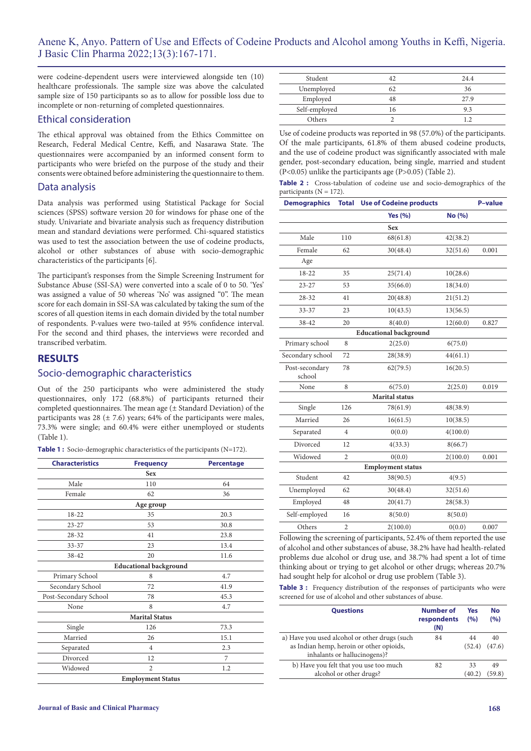were codeine-dependent users were interviewed alongside ten (10) healthcare professionals. The sample size was above the calculated sample size of 150 participants so as to allow for possible loss due to incomplete or non-returning of completed questionnaires.

#### Ethical consideration

The ethical approval was obtained from the Ethics Committee on Research, Federal Medical Centre, Keffi, and Nasarawa State. The questionnaires were accompanied by an informed consent form to participants who were briefed on the purpose of the study and their consents were obtained before administering the questionnaire to them.

#### Data analysis

Data analysis was performed using Statistical Package for Social sciences (SPSS) software version 20 for windows for phase one of the study. Univariate and bivariate analysis such as frequency distribution mean and standard deviations were performed. Chi-squared statistics was used to test the association between the use of codeine products, alcohol or other substances of abuse with socio-demographic characteristics of the participants [6].

The participant's responses from the Simple Screening Instrument for Substance Abuse (SSI-SA) were converted into a scale of 0 to 50. 'Yes' was assigned a value of 50 whereas 'No' was assigned "0". The mean score for each domain in SSI-SA was calculated by taking the sum of the scores of all question items in each domain divided by the total number of respondents. P-values were two-tailed at 95% confidence interval. For the second and third phases, the interviews were recorded and transcribed verbatim.

#### **RESULTS**

#### Socio-demographic characteristics

Out of the 250 participants who were administered the study questionnaires, only 172 (68.8%) of participants returned their completed questionnaires. The mean age  $(\pm$  Standard Deviation) of the participants was 28 ( $\pm$  7.6) years; 64% of the participants were males, 73.3% were single; and 60.4% were either unemployed or students (Table 1).

**Table 1 :** Socio-demographic characteristics of the participants (N=172).

| <b>Characteristics</b> | <b>Frequency</b>              | <b>Percentage</b> |
|------------------------|-------------------------------|-------------------|
|                        | <b>Sex</b>                    |                   |
| Male                   | 110                           | 64                |
| Female                 | 62                            | 36                |
|                        | Age group                     |                   |
| $18-22$                | 35                            | 20.3              |
| $23 - 27$              | 53                            | 30.8              |
| 28-32                  | 41                            | 23.8              |
| 33-37                  | 23                            | 13.4              |
| 38-42                  | 20                            | 11.6              |
|                        | <b>Educational background</b> |                   |
| Primary School         | 8                             | 4.7               |
| Secondary School       | 72                            | 41.9              |
| Post-Secondary School  | 78                            | 45.3              |
| None                   | 8                             | 4.7               |
|                        | <b>Marital Status</b>         |                   |
| Single                 | 126                           | 73.3              |
| Married                | 26                            | 15.1              |
| Separated              | $\overline{4}$                | 2.3               |
| Divorced               | 12                            | 7                 |
| Widowed                | $\overline{2}$                | 1.2               |
|                        | <b>Employment Status</b>      |                   |

| Student       |    | 24.4 |
|---------------|----|------|
| Unemployed    |    | 36   |
| Employed      | 48 | 27.9 |
| Self-employed | 16 | 93   |
| Others        |    |      |

Use of codeine products was reported in 98 (57.0%) of the participants. Of the male participants, 61.8% of them abused codeine products, and the use of codeine product was significantly associated with male gender, post-secondary education, being single, married and student  $(P<0.05)$  unlike the participants age  $(P>0.05)$  (Table 2).

|                             |  |  | Table 2 : Cross-tabulation of codeine use and socio-demographics of the |  |
|-----------------------------|--|--|-------------------------------------------------------------------------|--|
| participants ( $N = 172$ ). |  |  |                                                                         |  |

| <b>Demographics</b>      | <b>Total</b>   | <b>Use of Codeine products</b> |          | <b>P-value</b> |  |
|--------------------------|----------------|--------------------------------|----------|----------------|--|
|                          |                | <b>Yes (%)</b>                 | No (%)   |                |  |
|                          |                | <b>Sex</b>                     |          |                |  |
| Male                     | 110            | 68(61.8)                       | 42(38.2) |                |  |
| Female                   | 62             | 30(48.4)                       | 32(51.6) | 0.001          |  |
| Age                      |                |                                |          |                |  |
| 18-22                    | 35             | 25(71.4)                       | 10(28.6) |                |  |
| $23 - 27$                | 53             | 35(66.0)                       | 18(34.0) |                |  |
| $28 - 32$                | 41             | 20(48.8)                       | 21(51.2) |                |  |
| $33 - 37$                | 23             | 10(43.5)                       | 13(56.5) |                |  |
| 38-42                    | 20             | 8(40.0)                        | 12(60.0) | 0.827          |  |
|                          |                | <b>Educational background</b>  |          |                |  |
| Primary school           | 8              | 2(25.0)                        | 6(75.0)  |                |  |
| Secondary school         | 72             | 28(38.9)                       | 44(61.1) |                |  |
| Post-secondary<br>school | 78             | 62(79.5)                       | 16(20.5) |                |  |
| None                     | 8              | 6(75.0)                        | 2(25.0)  | 0.019          |  |
|                          |                | <b>Marital</b> status          |          |                |  |
| Single                   | 126            | 78(61.9)                       | 48(38.9) |                |  |
| Married                  | 26             | 16(61.5)                       | 10(38.5) |                |  |
| Separated                | 4              | 0(0.0)                         | 4(100.0) |                |  |
| Divorced                 | 12             | 4(33.3)                        | 8(66.7)  |                |  |
| Widowed                  | $\overline{2}$ | 0(0.0)                         | 2(100.0) | 0.001          |  |
| <b>Employment status</b> |                |                                |          |                |  |
| Student                  | 42             | 38(90.5)                       | 4(9.5)   |                |  |
| Unemployed               | 62             | 30(48.4)                       | 32(51.6) |                |  |
| Employed                 | 48             | 20(41.7)                       | 28(58.3) |                |  |
| Self-employed            | 16             | 8(50.0)                        | 8(50.0)  |                |  |
| Others                   | $\overline{c}$ | 2(100.0)                       | 0(0.0)   | 0.007          |  |

Following the screening of participants, 52.4% of them reported the use of alcohol and other substances of abuse, 38.2% have had health-related problems due alcohol or drug use, and 38.7% had spent a lot of time thinking about or trying to get alcohol or other drugs; whereas 20.7% had sought help for alcohol or drug use problem (Table 3).

Table 3 : Frequency distribution of the responses of participants who were screened for use of alcohol and other substances of abuse.

| <b>Questions</b>                                                                                                          | <b>Number of</b><br>respondents<br>(N) | Yes<br>(%)   | <b>No</b><br>(%) |
|---------------------------------------------------------------------------------------------------------------------------|----------------------------------------|--------------|------------------|
| a) Have you used alcohol or other drugs (such<br>as Indian hemp, heroin or other opioids,<br>inhalants or hallucinogens)? | 84                                     | 44<br>(52.4) | 40<br>(47.6)     |
| b) Have you felt that you use too much<br>alcohol or other drugs?                                                         | 82                                     | 33<br>(40.2  | 49<br>(59.8)     |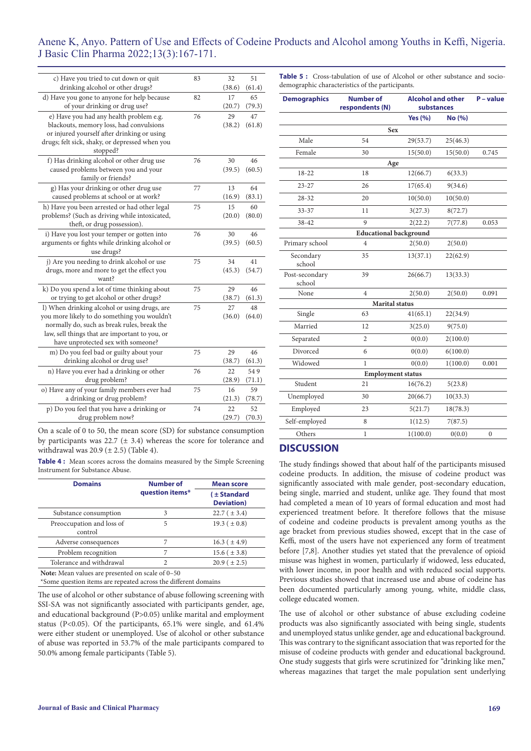### Anene K, Anyo. Pattern of Use and Effects of Codeine Products and Alcohol among Youths in Keffi, Nigeria. J Basic Clin Pharma 2022;13(3):167-171.

| c) Have you tried to cut down or quit<br>drinking alcohol or other drugs?              | 83 | 32<br>(38.6) | 51<br>(61.4) |
|----------------------------------------------------------------------------------------|----|--------------|--------------|
|                                                                                        | 82 | 17           | 65           |
| d) Have you gone to anyone for help because<br>of your drinking or drug use?           |    | (20.7)       | (79.3)       |
|                                                                                        |    |              |              |
| e) Have you had any health problem e.g.                                                | 76 | 29           | 47           |
| blackouts, memory loss, had convulsions<br>or injured yourself after drinking or using |    | (38.2)       | (61.8)       |
| drugs; felt sick, shaky, or depressed when you                                         |    |              |              |
| stopped?                                                                               |    |              |              |
| f) Has drinking alcohol or other drug use                                              | 76 | 30           | 46           |
| caused problems between you and your                                                   |    | (39.5)       | (60.5)       |
| family or friends?                                                                     |    |              |              |
| g) Has your drinking or other drug use                                                 | 77 | 13           | 64           |
| caused problems at school or at work?                                                  |    | (16.9)       | (83.1)       |
| h) Have you been arrested or had other legal                                           | 75 | 15           | 60           |
| problems? (Such as driving while intoxicated,                                          |    | (20.0)       | (80.0)       |
| theft, or drug possession).                                                            |    |              |              |
| i) Have you lost your temper or gotten into                                            | 76 | 30           | 46           |
| arguments or fights while drinking alcohol or                                          |    | (39.5)       | (60.5)       |
| use drugs?                                                                             |    |              |              |
| j) Are you needing to drink alcohol or use                                             | 75 | 34           | 41           |
| drugs, more and more to get the effect you                                             |    | (45.3)       | (54.7)       |
| want?                                                                                  |    |              |              |
| k) Do you spend a lot of time thinking about                                           | 75 | 29           | 46           |
| or trying to get alcohol or other drugs?                                               |    | (38.7)       | (61.3)       |
| l) When drinking alcohol or using drugs, are                                           | 75 | 27           | 48           |
| you more likely to do something you wouldn't                                           |    | (36.0)       | (64.0)       |
| normally do, such as break rules, break the                                            |    |              |              |
| law, sell things that are important to you, or                                         |    |              |              |
| have unprotected sex with someone?                                                     |    |              |              |
| m) Do you feel bad or guilty about your                                                | 75 | 29           | 46           |
| drinking alcohol or drug use?                                                          |    | (38.7)       | (61.3)       |
| n) Have you ever had a drinking or other                                               | 76 | 22           | 549          |
| drug problem?                                                                          |    | (28.9)       | (71.1)       |
| o) Have any of your family members ever had                                            | 75 | 16           | 59           |
| a drinking or drug problem?                                                            |    | (21.3)       | (78.7)       |
| p) Do you feel that you have a drinking or                                             | 74 | 22           | 52           |
| drug problem now?                                                                      |    | (29.7)       | (70.3)       |
|                                                                                        |    |              |              |

On a scale of 0 to 50, the mean score (SD) for substance consumption by participants was 22.7 ( $\pm$  3.4) whereas the score for tolerance and withdrawal was  $20.9 \ (\pm 2.5)$  (Table 4).

**Table 4:** Mean scores across the domains measured by the Simple Screening Instrument for Substance Abuse.

| <b>Domains</b>                                                                                                     | <b>Number of</b> | <b>Mean score</b>                |  |  |
|--------------------------------------------------------------------------------------------------------------------|------------------|----------------------------------|--|--|
|                                                                                                                    | question items*  | (±Standard<br><b>Deviation</b> ) |  |  |
| Substance consumption                                                                                              | 3                | $22.7 (\pm 3.4)$                 |  |  |
| Preoccupation and loss of<br>control                                                                               | 5                | 19.3 ( $\pm$ 0.8)                |  |  |
| Adverse consequences                                                                                               | 7                | $16.3 (\pm 4.9)$                 |  |  |
| Problem recognition                                                                                                | 7                | $15.6 (\pm 3.8)$                 |  |  |
| Tolerance and withdrawal                                                                                           | $\overline{c}$   | $20.9$ ( $\pm 2.5$ )             |  |  |
| Note: Mean values are presented on scale of 0–50<br>*Some question items are repeated across the different domains |                  |                                  |  |  |

The use of alcohol or other substance of abuse following screening with SSI-SA was not significantly associated with participants gender, age, and educational background (P>0.05) unlike marital and employment status (P<0.05). Of the participants, 65.1% were single, and 61.4% were either student or unemployed. Use of alcohol or other substance of abuse was reported in 53.7% of the male participants compared to 50.0% among female participants (Table 5).

**Table 5 :** Cross-tabulation of use of Alcohol or other substance and sociodemographic characteristics of the participants.

| <b>Number of</b><br>respondents (N) | <b>Alcohol and other</b><br>substances |                                                        | P - value    |  |  |  |
|-------------------------------------|----------------------------------------|--------------------------------------------------------|--------------|--|--|--|
|                                     | Yes $(% )$                             | No (%)                                                 |              |  |  |  |
| <b>Sex</b>                          |                                        |                                                        |              |  |  |  |
| 54                                  | 29(53.7)                               | 25(46.3)                                               |              |  |  |  |
| 30                                  | 15(50.0)                               | 15(50.0)                                               | 0.745        |  |  |  |
| Age                                 |                                        |                                                        |              |  |  |  |
| 18                                  | 12(66.7)                               | 6(33.3)                                                |              |  |  |  |
| 26                                  | 17(65.4)                               | 9(34.6)                                                |              |  |  |  |
| 20                                  | 10(50.0)                               | 10(50.0)                                               |              |  |  |  |
| 11                                  | 3(27.3)                                | 8(72.7)                                                |              |  |  |  |
| 9                                   | 2(22.2)                                | 7(77.8)                                                | 0.053        |  |  |  |
|                                     |                                        |                                                        |              |  |  |  |
| $\overline{4}$                      | 2(50.0)                                | 2(50.0)                                                |              |  |  |  |
| 35                                  | 13(37.1)                               | 22(62.9)                                               |              |  |  |  |
| 39                                  | 26(66.7)                               | 13(33.3)                                               |              |  |  |  |
| $\overline{4}$                      | 2(50.0)                                | 2(50.0)                                                | 0.091        |  |  |  |
|                                     |                                        |                                                        |              |  |  |  |
| 63                                  | 41(65.1)                               | 22(34.9)                                               |              |  |  |  |
| 12                                  | 3(25.0)                                | 9(75.0)                                                |              |  |  |  |
| 2                                   | 0(0.0)                                 | 2(100.0)                                               |              |  |  |  |
| 6                                   | 0(0.0)                                 | 6(100.0)                                               |              |  |  |  |
| $\mathbf{1}$                        | 0(0.0)                                 | 1(100.0)                                               | 0.001        |  |  |  |
| <b>Employment status</b>            |                                        |                                                        |              |  |  |  |
| 21                                  | 16(76.2)                               | 5(23.8)                                                |              |  |  |  |
| 30                                  | 20(66.7)                               | 10(33.3)                                               |              |  |  |  |
| 23                                  | 5(21.7)                                | 18(78.3)                                               |              |  |  |  |
| 8                                   | 1(12.5)                                | 7(87.5)                                                |              |  |  |  |
| $\mathbf{1}$                        | 1(100.0)                               | 0(0.0)                                                 | $\mathbf{0}$ |  |  |  |
|                                     |                                        | <b>Educational background</b><br><b>Marital</b> status |              |  |  |  |

#### **DISCUSSION**

The study findings showed that about half of the participants misused codeine products. In addition, the misuse of codeine product was significantly associated with male gender, post-secondary education, being single, married and student, unlike age. They found that most had completed a mean of 10 years of formal education and most had experienced treatment before. It therefore follows that the misuse of codeine and codeine products is prevalent among youths as the age bracket from previous studies showed, except that in the case of Keffi, most of the users have not experienced any form of treatment before [7,8]. Another studies yet stated that the prevalence of opioid misuse was highest in women, particularly if widowed, less educated, with lower income, in poor health and with reduced social supports. Previous studies showed that increased use and abuse of codeine has been documented particularly among young, white, middle class, college educated women.

The use of alcohol or other substance of abuse excluding codeine products was also significantly associated with being single, students and unemployed status unlike gender, age and educational background. This was contrary to the significant association that was reported for the misuse of codeine products with gender and educational background. One study suggests that girls were scrutinized for "drinking like men," whereas magazines that target the male population sent underlying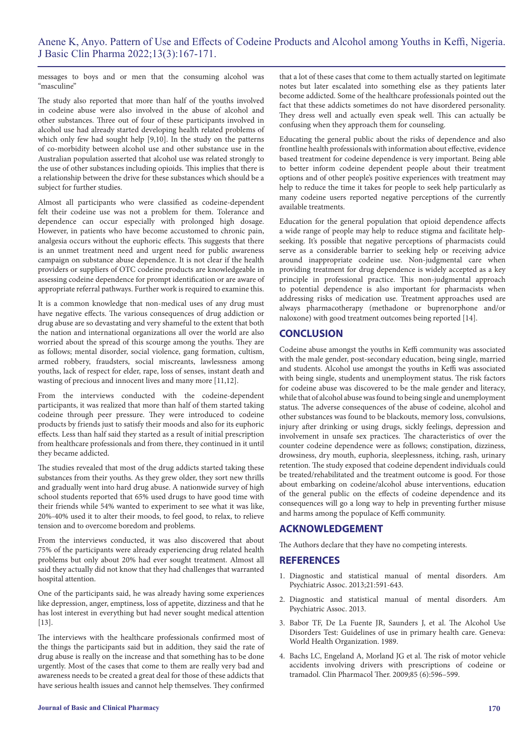messages to boys and or men that the consuming alcohol was "masculine"

The study also reported that more than half of the youths involved in codeine abuse were also involved in the abuse of alcohol and other substances. Three out of four of these participants involved in alcohol use had already started developing health related problems of which only few had sought help [9,10]. In the study on the patterns of co-morbidity between alcohol use and other substance use in the Australian population asserted that alcohol use was related strongly to the use of other substances including opioids. This implies that there is a relationship between the drive for these substances which should be a subject for further studies.

Almost all participants who were classified as codeine-dependent felt their codeine use was not a problem for them. Tolerance and dependence can occur especially with prolonged high dosage. However, in patients who have become accustomed to chronic pain, analgesia occurs without the euphoric effects. This suggests that there is an unmet treatment need and urgent need for public awareness campaign on substance abuse dependence. It is not clear if the health providers or suppliers of OTC codeine products are knowledgeable in assessing codeine dependence for prompt identification or are aware of appropriate referral pathways. Further work is required to examine this.

It is a common knowledge that non-medical uses of any drug must have negative effects. The various consequences of drug addiction or drug abuse are so devastating and very shameful to the extent that both the nation and international organizations all over the world are also worried about the spread of this scourge among the youths. They are as follows; mental disorder, social violence, gang formation, cultism, armed robbery, fraudsters, social miscreants, lawlessness among youths, lack of respect for elder, rape, loss of senses, instant death and wasting of precious and innocent lives and many more [11,12].

From the interviews conducted with the codeine-dependent participants, it was realized that more than half of them started taking codeine through peer pressure. They were introduced to codeine products by friends just to satisfy their moods and also for its euphoric effects. Less than half said they started as a result of initial prescription from healthcare professionals and from there, they continued in it until they became addicted.

The studies revealed that most of the drug addicts started taking these substances from their youths. As they grew older, they sort new thrills and gradually went into hard drug abuse. A nationwide survey of high school students reported that 65% used drugs to have good time with their friends while 54% wanted to experiment to see what it was like, 20%-40% used it to alter their moods, to feel good, to relax, to relieve tension and to overcome boredom and problems.

From the interviews conducted, it was also discovered that about 75% of the participants were already experiencing drug related health problems but only about 20% had ever sought treatment. Almost all said they actually did not know that they had challenges that warranted hospital attention.

One of the participants said, he was already having some experiences like depression, anger, emptiness, loss of appetite, dizziness and that he has lost interest in everything but had never sought medical attention [13].

The interviews with the healthcare professionals confirmed most of the things the participants said but in addition, they said the rate of drug abuse is really on the increase and that something has to be done urgently. Most of the cases that come to them are really very bad and awareness needs to be created a great deal for those of these addicts that have serious health issues and cannot help themselves. They confirmed

that a lot of these cases that come to them actually started on legitimate notes but later escalated into something else as they patients later become addicted. Some of the healthcare professionals pointed out the fact that these addicts sometimes do not have disordered personality. They dress well and actually even speak well. This can actually be confusing when they approach them for counseling.

Educating the general public about the risks of dependence and also frontline health professionals with information about effective, evidence based treatment for codeine dependence is very important. Being able to better inform codeine dependent people about their treatment options and of other people's positive experiences with treatment may help to reduce the time it takes for people to seek help particularly as many codeine users reported negative perceptions of the currently available treatments.

Education for the general population that opioid dependence affects a wide range of people may help to reduce stigma and facilitate helpseeking. It's possible that negative perceptions of pharmacists could serve as a considerable barrier to seeking help or receiving advice around inappropriate codeine use. Non-judgmental care when providing treatment for drug dependence is widely accepted as a key principle in professional practice. This non-judgmental approach to potential dependence is also important for pharmacists when addressing risks of medication use. Treatment approaches used are always pharmacotherapy (methadone or buprenorphone and/or naloxone) with good treatment outcomes being reported [14].

#### **CONCLUSION**

Codeine abuse amongst the youths in Keffi community was associated with the male gender, post-secondary education, being single, married and students. Alcohol use amongst the youths in Keffi was associated with being single, students and unemployment status. The risk factors for codeine abuse was discovered to be the male gender and literacy, while that of alcohol abuse was found to being single and unemployment status. The adverse consequences of the abuse of codeine, alcohol and other substances was found to be blackouts, memory loss, convulsions, injury after drinking or using drugs, sickly feelings, depression and involvement in unsafe sex practices. The characteristics of over the counter codeine dependence were as follows; constipation, dizziness, drowsiness, dry mouth, euphoria, sleeplessness, itching, rash, urinary retention. The study exposed that codeine dependent individuals could be treated/rehabilitated and the treatment outcome is good. For those about embarking on codeine/alcohol abuse interventions, education of the general public on the effects of codeine dependence and its consequences will go a long way to help in preventing further misuse and harms among the populace of Keffi community.

### **ACKNOWLEDGEMENT**

The Authors declare that they have no competing interests.

#### **REFERENCES**

- 1. Diagnostic and statistical manual of mental disorders. Am Psychiatric Assoc. 2013;21:591-643.
- 2. Diagnostic and statistical manual of mental disorders. Am Psychiatric Assoc. 2013.
- 3. Babor TF, De La Fuente JR, Saunders J, et al. The Alcohol Use Disorders Test: Guidelines of use in primary health care. Geneva: World Health Organization. 1989.
- 4. Bachs LC, Engeland A, Morland JG et al. [The risk of motor vehicle](https://ascpt.onlinelibrary.wiley.com/doi/abs/10.1038/clpt.2009.14)  [accidents involving drivers with prescriptions of codeine or](https://ascpt.onlinelibrary.wiley.com/doi/abs/10.1038/clpt.2009.14)  [tramadol.](https://ascpt.onlinelibrary.wiley.com/doi/abs/10.1038/clpt.2009.14) Clin Pharmacol Ther. 2009;85 (6):596–599.